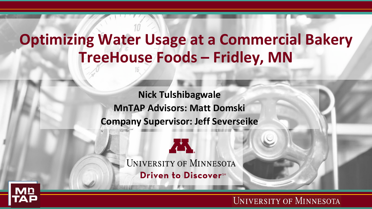### **Optimizing Water Usage at a Commercial Bakery TreeHouse Foods – Fridley, MN**

**Nick Tulshibagwale MnTAP Advisors: Matt Domski Company Supervisor: Jeff Severseike**





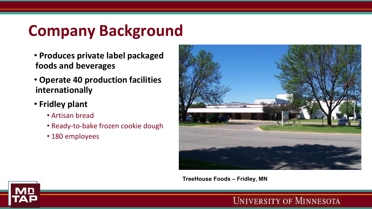# **Company Background**

- **Produces private label packaged foods and beverages**
- **Operate 40 production facilities internationally**
- **Fridley plant**
	- Artisan bread
	- Ready-to-bake frozen cookie dough
	- 180 employees



**TreeHouse Foods – Fridley, MN**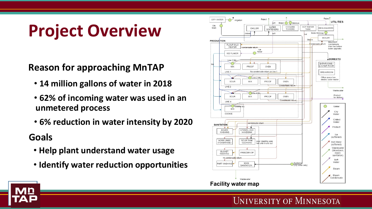# **Project Overview**

**Reason for approaching MnTAP**

- **14 million gallons of water in 2018**
- **62% of incoming water was used in an unmetered process**
- **6% reduction in water intensity by 2020**

### **Goals**

- **Help plant understand water usage**
- **Identify water reduction opportunities**



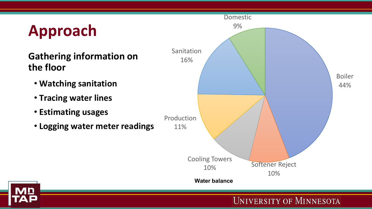# **Approach**

### **Gathering information on the floor**

- **Watching sanitation**
- **Tracing water lines**
- **Estimating usages**
- **Logging water meter readings**

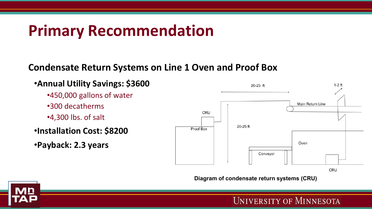## **Primary Recommendation**

#### **Condensate Return Systems on Line 1 Oven and Proof Box**

#### •**Annual Utility Savings: \$3600**

- •450,000 gallons of water
- •300 decatherms
- •4,300 lbs. of salt

### •**Installation Cost: \$8200**

•**Payback: 2.3 years**



**Diagram of condensate return systems (CRU)**

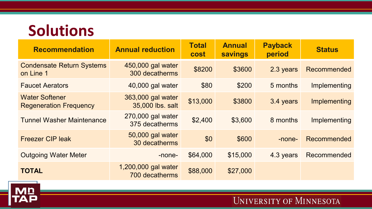### **Solutions**

| <b>Recommendation</b>                                  | <b>Annual reduction</b>               | <b>Total</b><br><b>cost</b> | <b>Annual</b><br><b>savings</b> | <b>Payback</b><br>period | <b>Status</b> |
|--------------------------------------------------------|---------------------------------------|-----------------------------|---------------------------------|--------------------------|---------------|
| <b>Condensate Return Systems</b><br>on Line 1          | 450,000 gal water<br>300 decatherms   | \$8200                      | \$3600                          | 2.3 years                | Recommended   |
| <b>Faucet Aerators</b>                                 | 40,000 gal water                      | \$80                        | \$200                           | 5 months                 | Implementing  |
| <b>Water Softener</b><br><b>Regeneration Frequency</b> | 363,000 gal water<br>35,000 lbs. salt | \$13,000                    | \$3800                          | 3.4 years                | Implementing  |
| <b>Tunnel Washer Maintenance</b>                       | 270,000 gal water<br>375 decatherms   | \$2,400                     | \$3,600                         | 8 months                 | Implementing  |
| <b>Freezer CIP leak</b>                                | 50,000 gal water<br>30 decatherms     | \$0                         | \$600                           | -none-                   | Recommended   |
| <b>Outgoing Water Meter</b>                            | -none-                                | \$64,000                    | \$15,000                        | 4.3 years                | Recommended   |
| <b>TOTAL</b>                                           | 1,200,000 gal water<br>700 decatherms | \$88,000                    | \$27,000                        |                          |               |